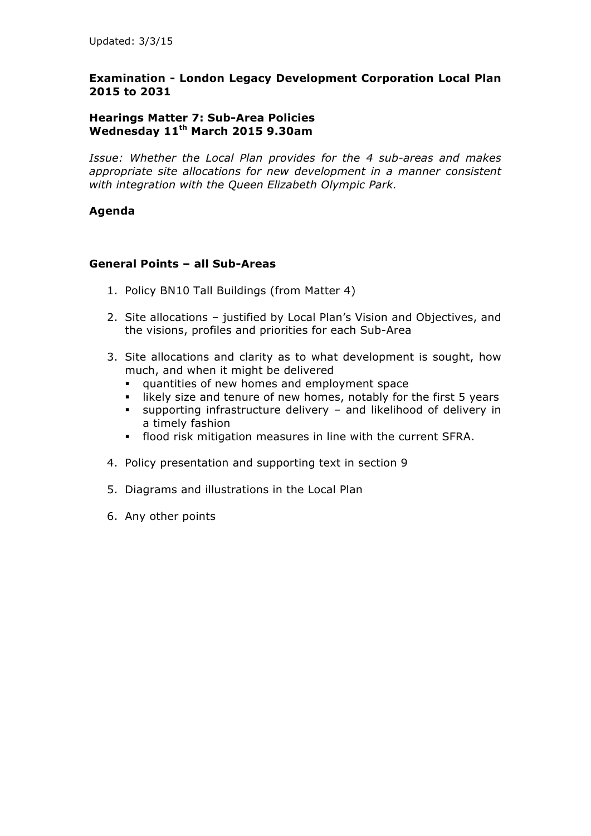### **Hearings Matter 7: Sub-Area Policies Wednesday 11th March 2015 9.30am**

*Issue: Whether the Local Plan provides for the 4 sub-areas and makes appropriate site allocations for new development in a manner consistent with integration with the Queen Elizabeth Olympic Park.*

## **Agenda**

### **General Points – all Sub-Areas**

- 1. Policy BN10 Tall Buildings (from Matter 4)
- 2. Site allocations justified by Local Plan's Vision and Objectives, and the visions, profiles and priorities for each Sub-Area
- 3. Site allocations and clarity as to what development is sought, how much, and when it might be delivered
	- § quantities of new homes and employment space
	- likely size and tenure of new homes, notably for the first 5 years
	- § supporting infrastructure delivery and likelihood of delivery in a timely fashion
	- § flood risk mitigation measures in line with the current SFRA.
- 4. Policy presentation and supporting text in section 9
- 5. Diagrams and illustrations in the Local Plan
- 6. Any other points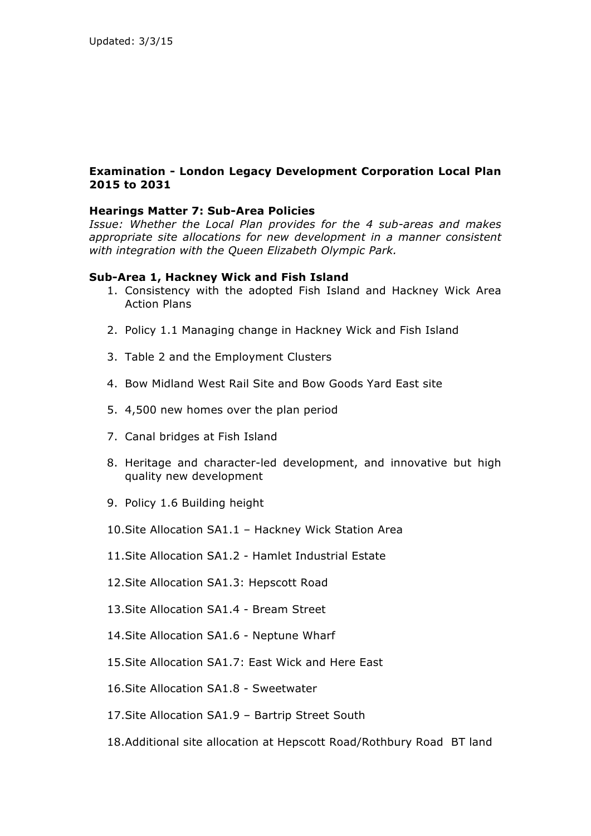### **Hearings Matter 7: Sub-Area Policies**

*Issue: Whether the Local Plan provides for the 4 sub-areas and makes appropriate site allocations for new development in a manner consistent with integration with the Queen Elizabeth Olympic Park.*

### **Sub-Area 1, Hackney Wick and Fish Island**

- 1. Consistency with the adopted Fish Island and Hackney Wick Area Action Plans
- 2. Policy 1.1 Managing change in Hackney Wick and Fish Island
- 3. Table 2 and the Employment Clusters
- 4. Bow Midland West Rail Site and Bow Goods Yard East site
- 5. 4,500 new homes over the plan period
- 7. Canal bridges at Fish Island
- 8. Heritage and character-led development, and innovative but high quality new development
- 9. Policy 1.6 Building height
- 10.Site Allocation SA1.1 Hackney Wick Station Area
- 11.Site Allocation SA1.2 Hamlet Industrial Estate
- 12.Site Allocation SA1.3: Hepscott Road
- 13.Site Allocation SA1.4 Bream Street
- 14.Site Allocation SA1.6 Neptune Wharf
- 15.Site Allocation SA1.7: East Wick and Here East
- 16.Site Allocation SA1.8 Sweetwater
- 17.Site Allocation SA1.9 Bartrip Street South
- 18.Additional site allocation at Hepscott Road/Rothbury Road BT land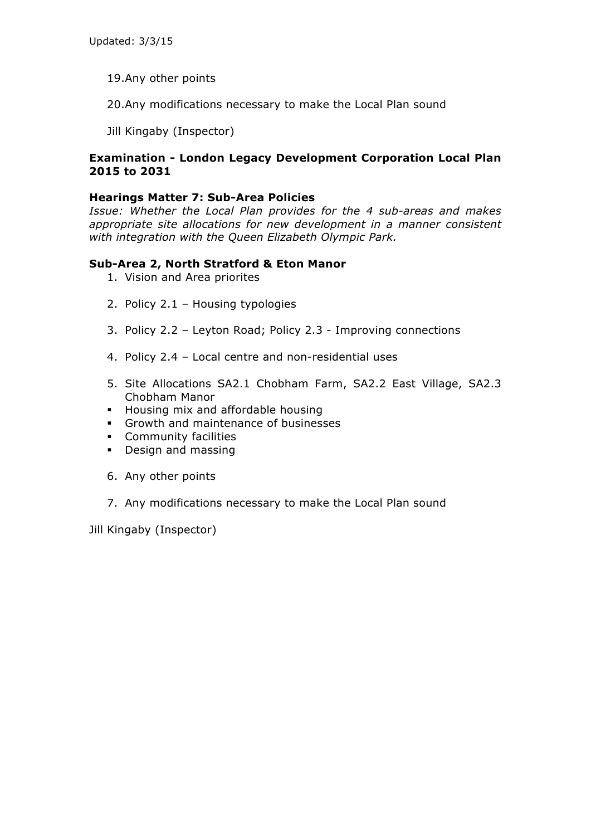- 19.Any other points
- 20.Any modifications necessary to make the Local Plan sound
- Jill Kingaby (Inspector)

### **Hearings Matter 7: Sub-Area Policies**

*Issue: Whether the Local Plan provides for the 4 sub-areas and makes appropriate site allocations for new development in a manner consistent with integration with the Queen Elizabeth Olympic Park.*

## **Sub-Area 2, North Stratford & Eton Manor**

- 1. Vision and Area priorites
- 2. Policy 2.1 Housing typologies
- 3. Policy 2.2 Leyton Road; Policy 2.3 Improving connections
- 4. Policy 2.4 Local centre and non-residential uses
- 5. Site Allocations SA2.1 Chobham Farm, SA2.2 East Village, SA2.3 Chobham Manor
- § Housing mix and affordable housing
- § Growth and maintenance of businesses
- § Community facilities
- § Design and massing
- 6. Any other points
- 7. Any modifications necessary to make the Local Plan sound

Jill Kingaby (Inspector)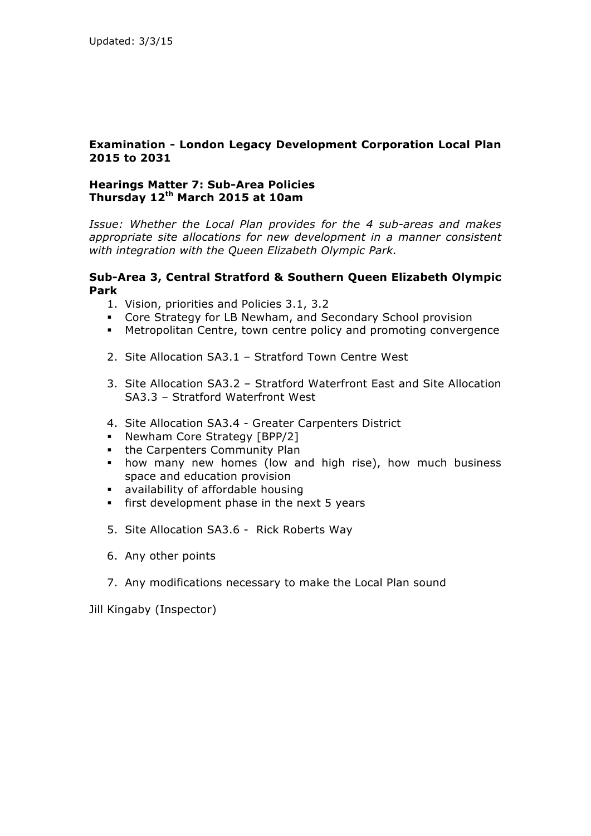## **Hearings Matter 7: Sub-Area Policies Thursday 12th March 2015 at 10am**

*Issue: Whether the Local Plan provides for the 4 sub-areas and makes appropriate site allocations for new development in a manner consistent with integration with the Queen Elizabeth Olympic Park.*

### **Sub-Area 3, Central Stratford & Southern Queen Elizabeth Olympic Park**

- 1. Vision, priorities and Policies 3.1, 3.2
- § Core Strategy for LB Newham, and Secondary School provision
- § Metropolitan Centre, town centre policy and promoting convergence
- 2. Site Allocation SA3.1 Stratford Town Centre West
- 3. Site Allocation SA3.2 Stratford Waterfront East and Site Allocation SA3.3 – Stratford Waterfront West
- 4. Site Allocation SA3.4 Greater Carpenters District
- Newham Core Strategy [BPP/2]
- the Carpenters Community Plan
- how many new homes (low and high rise), how much business space and education provision
- § availability of affordable housing
- first development phase in the next 5 years
- 5. Site Allocation SA3.6 Rick Roberts Way
- 6. Any other points
- 7. Any modifications necessary to make the Local Plan sound

Jill Kingaby (Inspector)